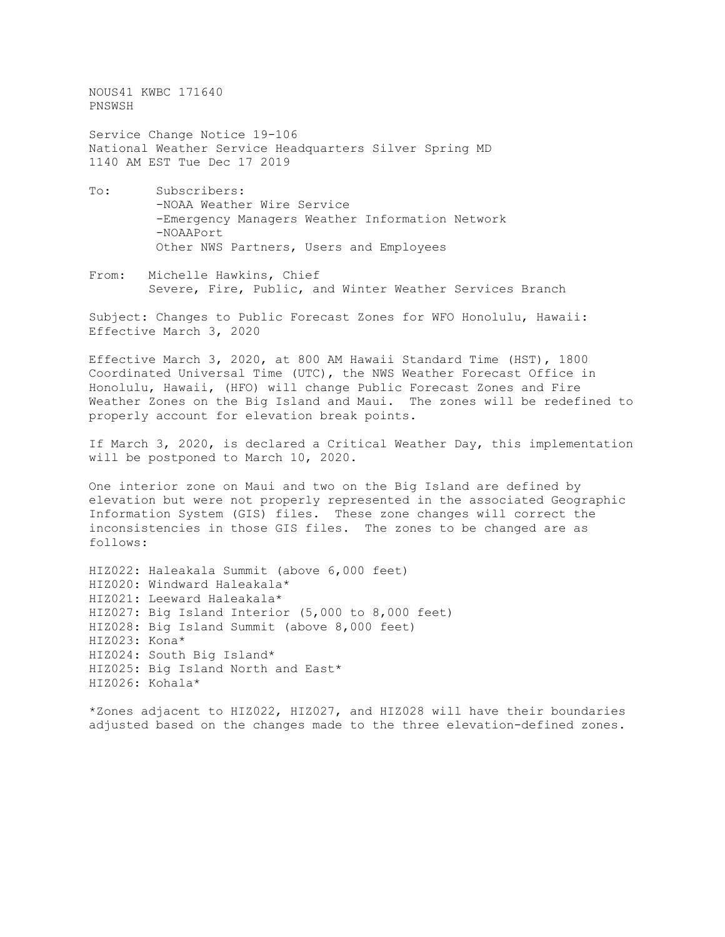NOUS41 KWBC 171640 PNSWSH

Service Change Notice 19-106 National Weather Service Headquarters Silver Spring MD 1140 AM EST Tue Dec 17 2019

- To: Subscribers: -NOAA Weather Wire Service -Emergency Managers Weather Information Network -NOAAPort Other NWS Partners, Users and Employees
- From: Michelle Hawkins, Chief Severe, Fire, Public, and Winter Weather Services Branch

Subject: Changes to Public Forecast Zones for WFO Honolulu, Hawaii: Effective March 3, 2020

Effective March 3, 2020, at 800 AM Hawaii Standard Time (HST), 1800 Coordinated Universal Time (UTC), the NWS Weather Forecast Office in Honolulu, Hawaii, (HFO) will change Public Forecast Zones and Fire Weather Zones on the Big Island and Maui. The zones will be redefined to properly account for elevation break points.

If March 3, 2020, is declared a Critical Weather Day, this implementation will be postponed to March 10, 2020.

One interior zone on Maui and two on the Big Island are defined by elevation but were not properly represented in the associated Geographic Information System (GIS) files. These zone changes will correct the inconsistencies in those GIS files. The zones to be changed are as follows:

HIZ022: Haleakala Summit (above 6,000 feet) HIZ020: Windward Haleakala\* HIZ021: Leeward Haleakala\* HIZ027: Big Island Interior (5,000 to 8,000 feet) HIZ028: Big Island Summit (above 8,000 feet) HIZ023: Kona\* HIZ024: South Big Island\* HIZ025: Big Island North and East\* HIZ026: Kohala\*

\*Zones adjacent to HIZ022, HIZ027, and HIZ028 will have their boundaries adjusted based on the changes made to the three elevation-defined zones.